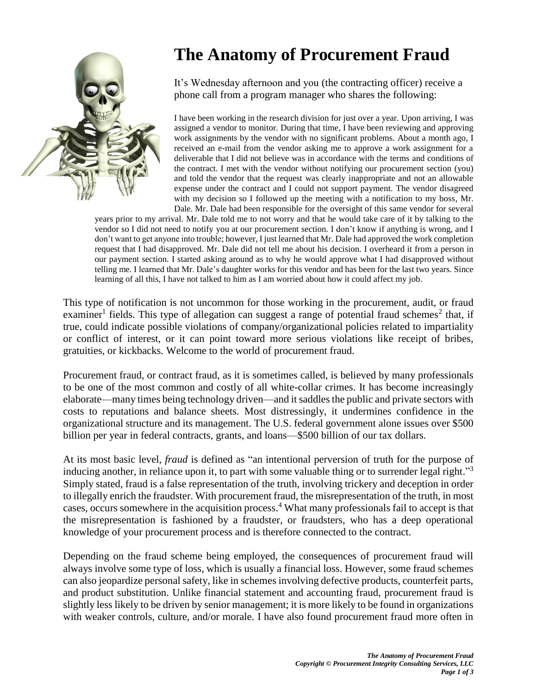

## **The Anatomy of Procurement Fraud**

It's Wednesday afternoon and you (the contracting officer) receive a phone call from a program manager who shares the following:

I have been working in the research division for just over a year. Upon arriving, I was assigned a vendor to monitor. During that time, I have been reviewing and approving work assignments by the vendor with no significant problems. About a month ago, I received an e-mail from the vendor asking me to approve a work assignment for a deliverable that I did not believe was in accordance with the terms and conditions of the contract. I met with the vendor without notifying our procurement section (you) and told the vendor that the request was clearly inappropriate and not an allowable expense under the contract and I could not support payment. The vendor disagreed with my decision so I followed up the meeting with a notification to my boss, Mr. Dale. Mr. Dale had been responsible for the oversight of this same vendor for several

years prior to my arrival. Mr. Dale told me to not worry and that he would take care of it by talking to the vendor so I did not need to notify you at our procurement section. I don't know if anything is wrong, and I don't want to get anyone into trouble; however, I just learned that Mr. Dale had approved the work completion request that I had disapproved. Mr. Dale did not tell me about his decision. I overheard it from a person in our payment section. I started asking around as to why he would approve what I had disapproved without telling me. I learned that Mr. Dale's daughter works for this vendor and has been for the last two years. Since learning of all this, I have not talked to him as I am worried about how it could affect my job.

This type of notification is not uncommon for those working in the procurement, audit, or fraud examiner<sup>1</sup> fields. This type of allegation can suggest a range of potential fraud schemes<sup>2</sup> that, if true, could indicate possible violations of company/organizational policies related to impartiality or conflict of interest, or it can point toward more serious violations like receipt of bribes, gratuities, or kickbacks. Welcome to the world of procurement fraud.

Procurement fraud, or contract fraud, as it is sometimes called, is believed by many professionals to be one of the most common and costly of all white-collar crimes. It has become increasingly elaborate—many times being technology driven—and itsaddles the public and private sectors with costs to reputations and balance sheets. Most distressingly, it undermines confidence in the organizational structure and its management. The U.S. federal government alone issues over \$500 billion per year in federal contracts, grants, and loans—\$500 billion of our tax dollars.

At its most basic level, *fraud* is defined as "an intentional perversion of truth for the purpose of inducing another, in reliance upon it, to part with some valuable thing or to surrender legal right."<sup>3</sup> Simply stated, fraud is a false representation of the truth, involving trickery and deception in order to illegally enrich the fraudster. With procurement fraud, the misrepresentation of the truth, in most cases, occurs somewhere in the acquisition process. <sup>4</sup> What many professionals fail to accept is that the misrepresentation is fashioned by a fraudster, or fraudsters, who has a deep operational knowledge of your procurement process and is therefore connected to the contract.

Depending on the fraud scheme being employed, the consequences of procurement fraud will always involve some type of loss, which is usually a financial loss. However, some fraud schemes can also jeopardize personal safety, like in schemes involving defective products, counterfeit parts, and product substitution. Unlike financial statement and accounting fraud, procurement fraud is slightly less likely to be driven by senior management; it is more likely to be found in organizations with weaker controls, culture, and/or morale. I have also found procurement fraud more often in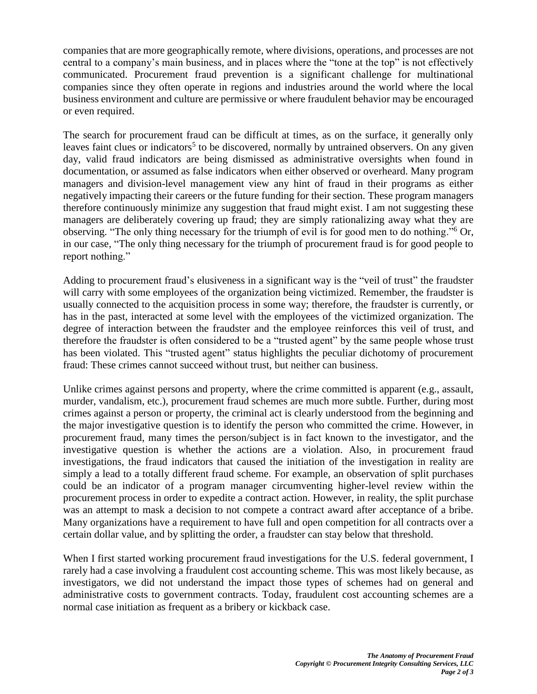companies that are more geographically remote, where divisions, operations, and processes are not central to a company's main business, and in places where the "tone at the top" is not effectively communicated. Procurement fraud prevention is a significant challenge for multinational companies since they often operate in regions and industries around the world where the local business environment and culture are permissive or where fraudulent behavior may be encouraged or even required.

The search for procurement fraud can be difficult at times, as on the surface, it generally only leaves faint clues or indicators<sup>5</sup> to be discovered, normally by untrained observers. On any given day, valid fraud indicators are being dismissed as administrative oversights when found in documentation, or assumed as false indicators when either observed or overheard. Many program managers and division-level management view any hint of fraud in their programs as either negatively impacting their careers or the future funding for their section. These program managers therefore continuously minimize any suggestion that fraud might exist. I am not suggesting these managers are deliberately covering up fraud; they are simply rationalizing away what they are observing. "The only thing necessary for the triumph of evil is for good men to do nothing."<sup>6</sup> Or, in our case, "The only thing necessary for the triumph of procurement fraud is for good people to report nothing."

Adding to procurement fraud's elusiveness in a significant way is the "veil of trust" the fraudster will carry with some employees of the organization being victimized. Remember, the fraudster is usually connected to the acquisition process in some way; therefore, the fraudster is currently, or has in the past, interacted at some level with the employees of the victimized organization. The degree of interaction between the fraudster and the employee reinforces this veil of trust, and therefore the fraudster is often considered to be a "trusted agent" by the same people whose trust has been violated. This "trusted agent" status highlights the peculiar dichotomy of procurement fraud: These crimes cannot succeed without trust, but neither can business.

Unlike crimes against persons and property, where the crime committed is apparent (e.g., assault, murder, vandalism, etc.), procurement fraud schemes are much more subtle. Further, during most crimes against a person or property, the criminal act is clearly understood from the beginning and the major investigative question is to identify the person who committed the crime. However, in procurement fraud, many times the person/subject is in fact known to the investigator, and the investigative question is whether the actions are a violation. Also, in procurement fraud investigations, the fraud indicators that caused the initiation of the investigation in reality are simply a lead to a totally different fraud scheme. For example, an observation of split purchases could be an indicator of a program manager circumventing higher-level review within the procurement process in order to expedite a contract action. However, in reality, the split purchase was an attempt to mask a decision to not compete a contract award after acceptance of a bribe. Many organizations have a requirement to have full and open competition for all contracts over a certain dollar value, and by splitting the order, a fraudster can stay below that threshold.

When I first started working procurement fraud investigations for the U.S. federal government, I rarely had a case involving a fraudulent cost accounting scheme. This was most likely because, as investigators, we did not understand the impact those types of schemes had on general and administrative costs to government contracts. Today, fraudulent cost accounting schemes are a normal case initiation as frequent as a bribery or kickback case.